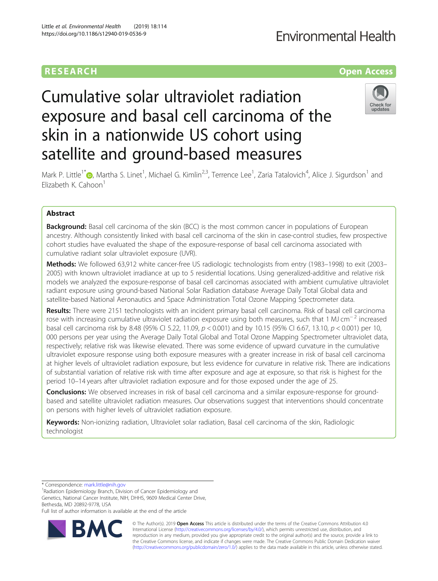## RESEARCH **RESEARCH CONSUMING ACCESS**

## **Fnvironmental Health**

# Cumulative solar ultraviolet radiation exposure and basal cell carcinoma of the skin in a nationwide US cohort using satellite and ground-based measures



Mark P. Little<sup>1[\\*](http://orcid.org/0000-0003-0980-7567)</sup> , Martha S. Linet<sup>1</sup>, Michael G. Kimlin<sup>2,3</sup>, Terrence Lee<sup>1</sup>, Zaria Tatalovich<sup>4</sup>, Alice J. Sigurdson<sup>1</sup> and Elizabeth K. Cahoon<sup>1</sup>

### Abstract

**Background:** Basal cell carcinoma of the skin (BCC) is the most common cancer in populations of European ancestry. Although consistently linked with basal cell carcinoma of the skin in case-control studies, few prospective cohort studies have evaluated the shape of the exposure-response of basal cell carcinoma associated with cumulative radiant solar ultraviolet exposure (UVR).

Methods: We followed 63,912 white cancer-free US radiologic technologists from entry (1983–1998) to exit (2003– 2005) with known ultraviolet irradiance at up to 5 residential locations. Using generalized-additive and relative risk models we analyzed the exposure-response of basal cell carcinomas associated with ambient cumulative ultraviolet radiant exposure using ground-based National Solar Radiation database Average Daily Total Global data and satellite-based National Aeronautics and Space Administration Total Ozone Mapping Spectrometer data.

Results: There were 2151 technologists with an incident primary basal cell carcinoma. Risk of basal cell carcinoma rose with increasing cumulative ultraviolet radiation exposure using both measures, such that 1 MJ cm<sup>−2</sup> increased basal cell carcinoma risk by 8.48 (95% CI 5.22, 11.09,  $p < 0.001$ ) and by 10.15 (95% CI 6.67, 13.10,  $p < 0.001$ ) per 10, 000 persons per year using the Average Daily Total Global and Total Ozone Mapping Spectrometer ultraviolet data, respectively; relative risk was likewise elevated. There was some evidence of upward curvature in the cumulative ultraviolet exposure response using both exposure measures with a greater increase in risk of basal cell carcinoma at higher levels of ultraviolet radiation exposure, but less evidence for curvature in relative risk. There are indications of substantial variation of relative risk with time after exposure and age at exposure, so that risk is highest for the period 10–14 years after ultraviolet radiation exposure and for those exposed under the age of 25.

Conclusions: We observed increases in risk of basal cell carcinoma and a similar exposure-response for groundbased and satellite ultraviolet radiation measures. Our observations suggest that interventions should concentrate on persons with higher levels of ultraviolet radiation exposure.

Keywords: Non-ionizing radiation, Ultraviolet solar radiation, Basal cell carcinoma of the skin, Radiologic technologist

\* Correspondence: [mark.little@nih.gov](mailto:mark.little@nih.gov) <sup>1</sup>

<sup>1</sup> Radiation Epidemiology Branch, Division of Cancer Epidemiology and Genetics, National Cancer Institute, NIH, DHHS, 9609 Medical Center Drive, Bethesda, MD 20892-9778, USA

Full list of author information is available at the end of the article



© The Author(s). 2019 **Open Access** This article is distributed under the terms of the Creative Commons Attribution 4.0 International License [\(http://creativecommons.org/licenses/by/4.0/](http://creativecommons.org/licenses/by/4.0/)), which permits unrestricted use, distribution, and reproduction in any medium, provided you give appropriate credit to the original author(s) and the source, provide a link to the Creative Commons license, and indicate if changes were made. The Creative Commons Public Domain Dedication waiver [\(http://creativecommons.org/publicdomain/zero/1.0/](http://creativecommons.org/publicdomain/zero/1.0/)) applies to the data made available in this article, unless otherwise stated.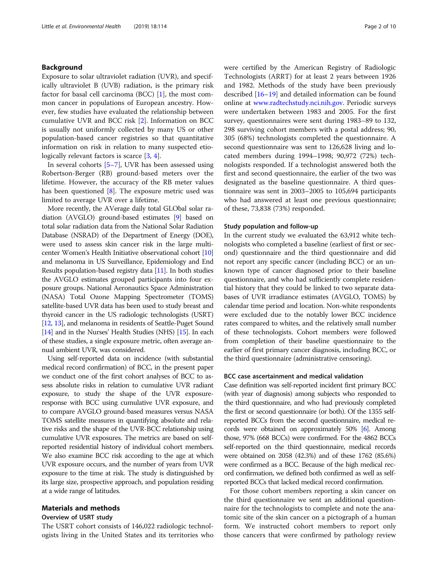#### Background

Exposure to solar ultraviolet radiation (UVR), and specifically ultraviolet B (UVB) radiation, is the primary risk factor for basal cell carcinoma (BCC)  $[1]$  $[1]$ , the most common cancer in populations of European ancestry. However, few studies have evaluated the relationship between cumulative UVR and BCC risk [\[2\]](#page-8-0). Information on BCC is usually not uniformly collected by many US or other population-based cancer registries so that quantitative information on risk in relation to many suspected etio-logically relevant factors is scarce [\[3](#page-8-0), [4](#page-8-0)].

In several cohorts  $[5-7]$  $[5-7]$  $[5-7]$  $[5-7]$ , UVR has been assessed using Robertson-Berger (RB) ground-based meters over the lifetime. However, the accuracy of the RB meter values has been questioned  $[8]$  $[8]$ . The exposure metric used was limited to average UVR over a lifetime.

More recently, the AVerage daily total GLObal solar radiation (AVGLO) ground-based estimates [\[9\]](#page-8-0) based on total solar radiation data from the National Solar Radiation Database (NSRAD) of the Department of Energy (DOE), were used to assess skin cancer risk in the large multicenter Women's Health Initiative observational cohort [\[10](#page-8-0)] and melanoma in US Surveillance, Epidemiology and End Results population-based registry data [\[11\]](#page-8-0). In both studies the AVGLO estimates grouped participants into four exposure groups. National Aeronautics Space Administration (NASA) Total Ozone Mapping Spectrometer (TOMS) satellite-based UVR data has been used to study breast and thyroid cancer in the US radiologic technologists (USRT) [[12](#page-8-0), [13](#page-8-0)], and melanoma in residents of Seattle-Puget Sound [[14](#page-8-0)] and in the Nurses' Health Studies (NHS) [[15](#page-8-0)]. In each of these studies, a single exposure metric, often average annual ambient UVR, was considered.

Using self-reported data on incidence (with substantial medical record confirmation) of BCC, in the present paper we conduct one of the first cohort analyses of BCC to assess absolute risks in relation to cumulative UVR radiant exposure, to study the shape of the UVR exposureresponse with BCC using cumulative UVR exposure, and to compare AVGLO ground-based measures versus NASA TOMS satellite measures in quantifying absolute and relative risks and the shape of the UVR-BCC relationship using cumulative UVR exposures. The metrics are based on selfreported residential history of individual cohort members. We also examine BCC risk according to the age at which UVR exposure occurs, and the number of years from UVR exposure to the time at risk. The study is distinguished by its large size, prospective approach, and population residing at a wide range of latitudes.

### Materials and methods

#### Overview of USRT study

The USRT cohort consists of 146,022 radiologic technologists living in the United States and its territories who were certified by the American Registry of Radiologic Technologists (ARRT) for at least 2 years between 1926 and 1982. Methods of the study have been previously described [[16](#page-8-0)–[19](#page-8-0)] and detailed information can be found online at [www.radtechstudy.nci.nih.gov](http://www.radtechstudy.nci.nih.gov). Periodic surveys were undertaken between 1983 and 2005. For the first survey, questionnaires were sent during 1983–89 to 132, 298 surviving cohort members with a postal address; 90, 305 (68%) technologists completed the questionnaire. A second questionnaire was sent to 126,628 living and located members during 1994–1998; 90,972 (72%) technologists responded. If a technologist answered both the first and second questionnaire, the earlier of the two was designated as the baseline questionnaire. A third questionnaire was sent in 2003–2005 to 105,694 participants who had answered at least one previous questionnaire; of these, 73,838 (73%) responded.

#### Study population and follow-up

In the current study we evaluated the 63,912 white technologists who completed a baseline (earliest of first or second) questionnaire and the third questionnaire and did not report any specific cancer (including BCC) or an unknown type of cancer diagnosed prior to their baseline questionnaire, and who had sufficiently complete residential history that they could be linked to two separate databases of UVR irradiance estimates (AVGLO, TOMS) by calendar time period and location. Non-white respondents were excluded due to the notably lower BCC incidence rates compared to whites, and the relatively small number of these technologists. Cohort members were followed from completion of their baseline questionnaire to the earlier of first primary cancer diagnosis, including BCC, or the third questionnaire (administrative censoring).

#### BCC case ascertainment and medical validation

Case definition was self-reported incident first primary BCC (with year of diagnosis) among subjects who responded to the third questionnaire, and who had previously completed the first or second questionnaire (or both). Of the 1355 selfreported BCCs from the second questionnaire, medical records were obtained on approximately 50% [\[6\]](#page-8-0). Among those, 97% (668 BCCs) were confirmed. For the 4862 BCCs self-reported on the third questionnaire, medical records were obtained on 2058 (42.3%) and of these 1762 (85.6%) were confirmed as a BCC. Because of the high medical record confirmation, we defined both confirmed as well as selfreported BCCs that lacked medical record confirmation.

For those cohort members reporting a skin cancer on the third questionnaire we sent an additional questionnaire for the technologists to complete and note the anatomic site of the skin cancer on a pictograph of a human form. We instructed cohort members to report only those cancers that were confirmed by pathology review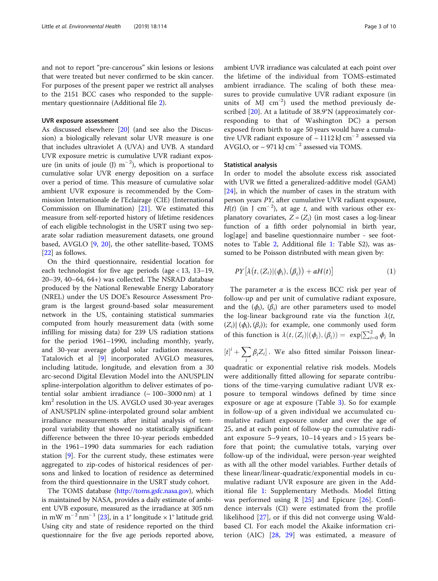and not to report "pre-cancerous" skin lesions or lesions that were treated but never confirmed to be skin cancer. For purposes of the present paper we restrict all analyses to the 2151 BCC cases who responded to the supplementary questionnaire (Additional file [2](#page-7-0)).

#### UVR exposure assessment

As discussed elsewhere [\[20](#page-8-0)] (and see also the Discussion) a biologically relevant solar UVR measure is one that includes ultraviolet A (UVA) and UVB. A standard UVR exposure metric is cumulative UVR radiant exposure (in units of joule (J)  $m^{-2}$ ), which is proportional to cumulative solar UVR energy deposition on a surface over a period of time. This measure of cumulative solar ambient UVR exposure is recommended by the Commission Internationale de l'Eclairage (CIE) (International Commission on Illumination) [\[21](#page-8-0)]. We estimated this measure from self-reported history of lifetime residences of each eligible technologist in the USRT using two separate solar radiation measurement datasets, one ground based, AVGLO [[9,](#page-8-0) [20](#page-8-0)], the other satellite-based, TOMS [[22\]](#page-8-0) as follows.

On the third questionnaire, residential location for each technologist for five age periods (age < 13, 13–19, 20–39, 40–64, 64+) was collected. The NSRAD database produced by the National Renewable Energy Laboratory (NREL) under the US DOE's Resource Assessment Program is the largest ground-based solar measurement network in the US, containing statistical summaries computed from hourly measurement data (with some infilling for missing data) for 239 US radiation stations for the period 1961–1990, including monthly, yearly, and 30-year average global solar radiation measures. Tatalovich et al [[9\]](#page-8-0) incorporated AVGLO measures, including latitude, longitude, and elevation from a 30 arc-second Digital Elevation Model into the ANUSPLIN spline-interpolation algorithm to deliver estimates of potential solar ambient irradiance  $({\sim 100-3000 \text{ nm}})$  at 1  $km<sup>2</sup>$  resolution in the US. AVGLO used 30-year averages of ANUSPLIN spline-interpolated ground solar ambient irradiance measurements after initial analysis of temporal variability that showed no statistically significant difference between the three 10-year periods embedded in the 1961–1990 data summaries for each radiation station [[9\]](#page-8-0). For the current study, these estimates were aggregated to zip-codes of historical residences of persons and linked to location of residence as determined from the third questionnaire in the USRT study cohort.

The TOMS database [\(http://toms.gsfc.nasa.gov](http://toms.gsfc.nasa.gov)), which is maintained by NASA, provides a daily estimate of ambient UVB exposure, measured as the irradiance at 305 nm in mW m<sup>-2</sup> nm<sup>-1</sup> [[23\]](#page-8-0), in a 1° longitude × 1° latitude grid. Using city and state of residence reported on the third questionnaire for the five age periods reported above,

ambient UVR irradiance was calculated at each point over the lifetime of the individual from TOMS-estimated ambient irradiance. The scaling of both these measures to provide cumulative UVR radiant exposure (in units of MJ  $\text{cm}^{-2}$ ) used the method previously described [[20\]](#page-8-0). At a latitude of 38.9°N (approximately corresponding to that of Washington DC) a person exposed from birth to age 50 years would have a cumulative UVR radiant exposure of  $\sim$  1112 kJ cm<sup>-2</sup> assessed via AVGLO, or  $\sim$  971 kJ cm<sup>-2</sup> assessed via TOMS.

#### Statistical analysis

In order to model the absolute excess risk associated with UVR we fitted a generalized-additive model (GAM) [[24\]](#page-8-0), in which the number of cases in the stratum with person years PY, after cumulative UVR radiant exposure,  $H(t)$  (in J cm<sup>-2</sup>), at age t, and with various other explanatory covariates,  $Z = (Z_i)$  (in most cases a log-linear function of a fifth order polynomial in birth year, log[age] and baseline questionnaire number - see footnotes to Table [2,](#page-4-0) Additional file [1:](#page-7-0) Table S2), was assumed to be Poisson distributed with mean given by:

$$
PY\big[\lambda\big(t,(Z_i)|(\phi_i),(\beta_i)\big)+\alpha H(t)\big] \qquad (1)
$$

The parameter  $\alpha$  is the excess BCC risk per year of follow-up and per unit of cumulative radiant exposure, and the  $(\phi_i)$ ,  $(\beta_i)$  are other parameters used to model the log-linear background rate via the function  $\lambda(t,$  $(Z_i)$   $(\phi_i), (\beta_i)$ ; for example, one commonly used form of this function is  $\lambda(t, (Z_i)|(\phi_i), (\beta_i)) = \exp[\sum_{i=0}^2 \phi_i] \ln$ 

 $[t]^i + \sum_i \beta_i Z_i$ . We also fitted similar Poisson linear-

quadratic or exponential relative risk models. Models were additionally fitted allowing for separate contributions of the time-varying cumulative radiant UVR exposure to temporal windows defined by time since exposure or age at exposure (Table [3\)](#page-5-0). So for example in follow-up of a given individual we accumulated cumulative radiant exposure under and over the age of 25, and at each point of follow-up the cumulative radiant exposure 5–9 years, 10–14 years and > 15 years before that point; the cumulative totals, varying over follow-up of the individual, were person-year weighted as with all the other model variables. Further details of these linear/linear-quadratic/exponential models in cumulative radiant UVR exposure are given in the Additional file [1](#page-7-0): Supplementary Methods. Model fitting was performed using R  $[25]$  $[25]$  $[25]$  and Epicure  $[26]$  $[26]$ . Confidence intervals (CI) were estimated from the profile likelihood [[27\]](#page-8-0), or if this did not converge using Waldbased CI. For each model the Akaike information criterion (AIC) [\[28](#page-8-0), [29](#page-8-0)] was estimated, a measure of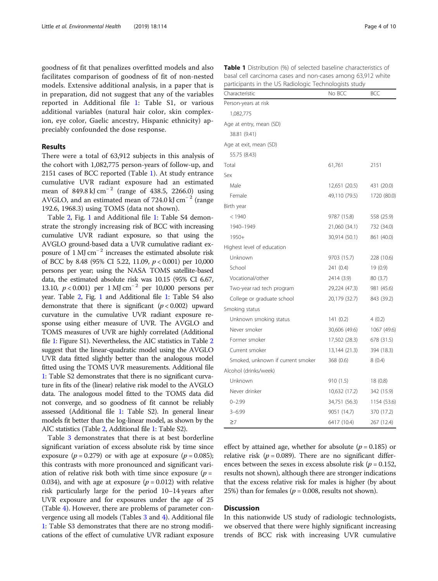goodness of fit that penalizes overfitted models and also facilitates comparison of goodness of fit of non-nested models. Extensive additional analysis, in a paper that is in preparation, did not suggest that any of the variables reported in Additional file [1:](#page-7-0) Table S1, or various additional variables (natural hair color, skin complexion, eye color, Gaelic ancestry, Hispanic ethnicity) appreciably confounded the dose response.

#### Results

There were a total of 63,912 subjects in this analysis of the cohort with 1,082,775 person-years of follow-up, and 2151 cases of BCC reported (Table 1). At study entrance cumulative UVR radiant exposure had an estimated mean of 849.8 kJ cm<sup>-2</sup> (range of 438.5, 2266.0) using AVGLO, and an estimated mean of 724.0 kJ cm<sup>−</sup> <sup>2</sup> (range 192.6, 1968.3) using TOMS (data not shown).

Table [2,](#page-4-0) Fig. [1](#page-4-0) and Additional file [1](#page-7-0): Table S4 demonstrate the strongly increasing risk of BCC with increasing cumulative UVR radiant exposure, so that using the AVGLO ground-based data a UVR cumulative radiant exposure of  $1 \text{ MJ cm}^{-2}$  increases the estimated absolute risk of BCC by 8.48 (95% CI 5.22, 11.09,  $p < 0.001$ ) per 10,000 persons per year; using the NASA TOMS satellite-based data, the estimated absolute risk was 10.15 (95% CI 6.67, 13.10,  $p < 0.001$ ) per 1 MJ cm<sup>-2</sup> per 10,000 persons per year. Table [2](#page-4-0), Fig. [1](#page-4-0) and Additional file [1:](#page-7-0) Table S4 also demonstrate that there is significant  $(p < 0.002)$  upward curvature in the cumulative UVR radiant exposure response using either measure of UVR. The AVGLO and TOMS measures of UVR are highly correlated (Additional file [1:](#page-7-0) Figure S1). Nevertheless, the AIC statistics in Table [2](#page-4-0) suggest that the linear-quadratic model using the AVGLO UVR data fitted slightly better than the analogous model fitted using the TOMS UVR measurements. Additional file [1](#page-7-0): Table S2 demonstrates that there is no significant curvature in fits of the (linear) relative risk model to the AVGLO data. The analogous model fitted to the TOMS data did not converge, and so goodness of fit cannot be reliably assessed (Additional file [1:](#page-7-0) Table S2). In general linear models fit better than the log-linear model, as shown by the AIC statistics (Table [2,](#page-4-0) Additional file [1](#page-7-0): Table S2).

Table [3](#page-5-0) demonstrates that there is at best borderline significant variation of excess absolute risk by time since exposure ( $p = 0.279$ ) or with age at exposure ( $p = 0.085$ ); this contrasts with more pronounced and significant variation of relative risk both with time since exposure  $(p =$ 0.034), and with age at exposure  $(p = 0.012)$  with relative risk particularly large for the period 10–14 years after UVR exposure and for exposures under the age of 25 (Table [4](#page-5-0)). However, there are problems of parameter convergence using all models (Tables [3](#page-5-0) and [4](#page-5-0)). Additional file [1:](#page-7-0) Table S3 demonstrates that there are no strong modifications of the effect of cumulative UVR radiant exposure

Characteristic BCC BCC BCC Person-years at risk 1,082,775 Age at entry, mean (SD) 38.81 (9.41) Age at exit, mean (SD) 55.75 (8.43) Total 61,761 2151  $S_{\rho x}$ Male 12,651 (20.5) 431 (20.0) Female 49,110 (79.5) 1720 (80.0) Birth year < 1940 9787 (15.8) 558 (25.9) 1940–1949 21,060 (34.1) 732 (34.0) 1950+ 30,914 (50.1) 861 (40.0) Highest level of education Unknown 9703 (15.7) 228 (10.6) School 241 (0.4) 19 (0.9) Vocational/other 2414 (3.9) 80 (3.7) Two-year rad tech program 29,224 (47.3) 981 (45.6) College or graduate school 20,179 (32.7) 843 (39.2) Smoking status Unknown smoking status 141 (0.2) 4 (0.2) Never smoker 30,606 (49.6) 1067 (49.6) Former smoker 17,502 (28.3) 678 (31.5) Current smoker 13,144 (21.3) 394 (18.3) Smoked, unknown if current smoker 368 (0.6) 8 (0.4) Alcohol (drinks/week) Unknown 910 (1.5) 18 (0.8) Never drinker 10,632 (17.2) 342 (15.9) 0–2.99 34,751 (56.3) 1154 (53.6) 3–6.99 9051 (14.7) 370 (17.2)

Table 1 Distribution (%) of selected baseline characteristics of basal cell carcinoma cases and non-cases among 63,912 white participants in the US Radiologic Technologists study

effect by attained age, whether for absolute ( $p = 0.185$ ) or relative risk ( $p = 0.089$ ). There are no significant differences between the sexes in excess absolute risk ( $p = 0.152$ , results not shown), although there are stronger indications that the excess relative risk for males is higher (by about 25%) than for females ( $p = 0.008$ , results not shown).

 $≥7$  6417 (10.4) 267 (12.4)

#### Discussion

In this nationwide US study of radiologic technologists, we observed that there were highly significant increasing trends of BCC risk with increasing UVR cumulative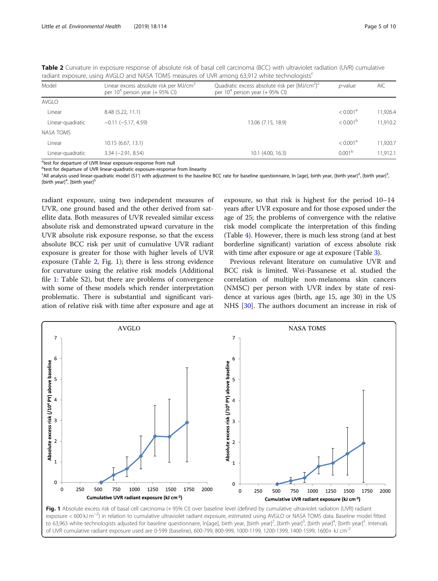<span id="page-4-0"></span>

| <b>Table 2</b> Curvature in exposure response of absolute risk of basal cell carcinoma (BCC) with ultraviolet radiation (UVR) cumulative |  |  |  |
|------------------------------------------------------------------------------------------------------------------------------------------|--|--|--|
| radiant exposure, using AVGLO and NASA TOMS measures of UVR among 63,912 white technologists <sup>c</sup>                                |  |  |  |

| Model            | Linear excess absolute risk per MJ/cm <sup>2</sup><br>per $10^4$ person year (+95% CI) | Quadratic excess absolute risk per $[M]/cm^2$ <sup>2</sup><br>per $10^4$ person year (+95% CI) | $p$ -value           | AIC      |
|------------------|----------------------------------------------------------------------------------------|------------------------------------------------------------------------------------------------|----------------------|----------|
| <b>AVGLO</b>     |                                                                                        |                                                                                                |                      |          |
| Linear           | 8.48 (5.22, 11.1)                                                                      |                                                                                                | < 0.001 <sup>a</sup> | 11,926.4 |
| Linear-quadratic | $-0.11$ $(-5.17, 4.59)$                                                                | 13.06 (7.15, 18.9)                                                                             | $< 0.001^{\rm b}$    | 11,910.2 |
| <b>NASA TOMS</b> |                                                                                        |                                                                                                |                      |          |
| Linear           | 10.15 (6.67, 13.1)                                                                     |                                                                                                | < 0.001 <sup>a</sup> | 11,920.7 |
| Linear-quadratic | $3.34 (-2.91, 8.54)$                                                                   | 10.1 (4.00, 16.3)                                                                              | 0.001 <sup>b</sup>   | 11.912.1 |
|                  |                                                                                        |                                                                                                |                      |          |

<sup>a</sup>test for departure of UVR linear exposure-response from null

**btest for departure of UVR linear-quadratic exposure-response from linearity** 

<sup>c</sup>All analysis used linear-quadratic model (S1') with adjustment to the baseline BCC rate for baseline questionnaire, In [age], birth year, [birth year]<sup>3</sup>, [birth year]<sup>3</sup>, [birth year]<sup>3</sup> , [birth year]<sup>4</sup>, [birth year]<sup>5</sup>

radiant exposure, using two independent measures of UVR, one ground based and the other derived from satellite data. Both measures of UVR revealed similar excess absolute risk and demonstrated upward curvature in the UVR absolute risk exposure response, so that the excess absolute BCC risk per unit of cumulative UVR radiant exposure is greater for those with higher levels of UVR exposure (Table 2, Fig. 1); there is less strong evidence for curvature using the relative risk models (Additional file [1:](#page-7-0) Table S2), but there are problems of convergence with some of these models which render interpretation problematic. There is substantial and significant variation of relative risk with time after exposure and age at

exposure, so that risk is highest for the period 10–14 years after UVR exposure and for those exposed under the age of 25; the problems of convergence with the relative risk model complicate the interpretation of this finding (Table [4](#page-5-0)). However, there is much less strong (and at best borderline significant) variation of excess absolute risk with time after exposure or age at exposure (Table [3\)](#page-5-0).

Previous relevant literature on cumulative UVR and BCC risk is limited. Wei-Passanese et al. studied the correlation of multiple non-melanoma skin cancers (NMSC) per person with UVR index by state of residence at various ages (birth, age 15, age 30) in the US NHS [[30](#page-8-0)]. The authors document an increase in risk of

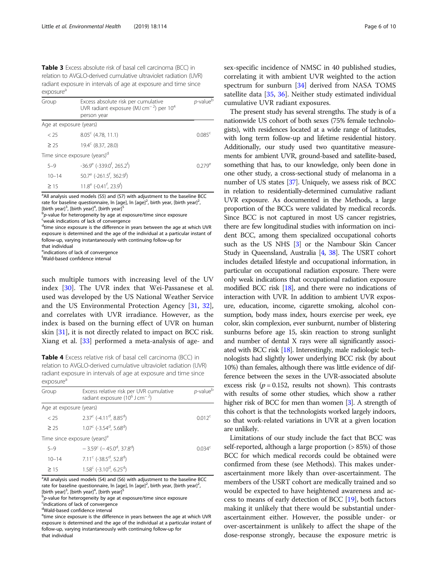<span id="page-5-0"></span>Table 3 Excess absolute risk of basal cell carcinoma (BCC) in relation to AVGLO-derived cumulative ultraviolet radiation (UVR) radiant exposure in intervals of age at exposure and time since exposure<sup>a</sup>

| Group                   | Excess absolute risk per cumulative<br>UVR radiant exposure (MJ cm <sup>-2</sup> ) per $10^4$<br>person year | $p$ -value $b$  |
|-------------------------|--------------------------------------------------------------------------------------------------------------|-----------------|
| Age at exposure (years) |                                                                                                              |                 |
| < 25                    | $8.05^{\circ}$ (4.78, 11.1)                                                                                  | $0.085^{\circ}$ |
| $\geq$ 25               | $19.4^{\circ}$ (8.37, 28.0)                                                                                  |                 |
|                         | Time since exposure (years) <sup>d</sup>                                                                     |                 |
| $5 - 9$                 | $-36.9^{\circ}$ ( $-339.0^{\circ}$ , 265.2 <sup>f</sup> )                                                    | $0.279^e$       |
| $10 - 14$               | $50.7^e$ (-261.5 <sup>f</sup> , 362.9 <sup>f</sup> )                                                         |                 |
| >15                     | $11.8^e$ (-0.41 <sup>f</sup> , 23.9 <sup>f</sup> )                                                           |                 |

<sup>a</sup>All analysis used models (S5) and (S7) with adjustment to the baseline BCC rate for baseline questionnaire, ln [age], ln [age]<sup>2</sup>, birth year, [birth year]<sup>2</sup> , [birth year]<sup>3</sup>, [birth year]<sup>4</sup>, [birth year]<sup>5</sup>

b<br>b-value for heterogeneity by age at exposure/time since exposure

<sup>c</sup>weak indications of lack of convergence

<sup>d</sup>time since exposure is the difference in years between the age at which UVR exposure is determined and the age of the individual at a particular instant of follow-up, varying instantaneously with continuing follow-up for that individual

eindications of lack of convergence

f Wald-based confidence interval

such multiple tumors with increasing level of the UV index [\[30](#page-8-0)]. The UVR index that Wei-Passanese et al. used was developed by the US National Weather Service and the US Environmental Protection Agency [\[31,](#page-8-0) [32](#page-8-0)], and correlates with UVR irradiance. However, as the index is based on the burning effect of UVR on human skin [\[31](#page-8-0)], it is not directly related to impact on BCC risk. Xiang et al. [\[33\]](#page-8-0) performed a meta-analysis of age- and

Table 4 Excess relative risk of basal cell carcinoma (BCC) in relation to AVGLO-derived cumulative ultraviolet radiation (UVR) radiant exposure in intervals of age at exposure and time since exposure<sup>a</sup>

| Group                   | Excess relative risk per UVR cumulative<br>radiant exposure $(10^6$ J cm <sup>-2</sup> ) | $p$ -value $b$     |
|-------------------------|------------------------------------------------------------------------------------------|--------------------|
| Age at exposure (years) |                                                                                          |                    |
| $<$ 25                  | $2.37^{\circ}$ (-4.11 <sup>d</sup> , 8.85 <sup>d</sup> )                                 | 0.012 <sup>c</sup> |
| > 25                    | $1.07^{\circ}$ (-3.54 <sup>d</sup> , 5.68 <sup>d</sup> )                                 |                    |
|                         | Time since exposure (years) <sup>e</sup>                                                 |                    |
| $5 - 9$                 | $-3.59^{\circ}$ ( $-45.0^{\circ}$ , 37.8 <sup>d</sup> )                                  | 0.034 <sup>c</sup> |
| $10 - 14$               | $7.11^{\circ}$ (-38.5 <sup>d</sup> , 52.8 <sup>d</sup> )                                 |                    |
| >15                     | $1.58^{\circ}$ (-3.10 <sup>d</sup> , 6.25 <sup>d</sup> )                                 |                    |

<sup>a</sup>All analysis used models (S4) and (S6) with adjustment to the baseline BCC rate for baseline questionnaire, ln [age], ln [age]<sup>2</sup>, birth year, [birth year]<sup>2</sup> , [birth year]<sup>3</sup>, [birth year]<sup>4</sup>, [birth year]<sup>5</sup>

b<sub>p</sub>-value for heterogeneity by age at exposure/time since exposure

<sup>c</sup>indications of lack of convergence

d<br>Wald-based confidence interval

<sup>e</sup>time since exposure is the difference in years between the age at which UVR exposure is determined and the age of the individual at a particular instant of follow-up, varying instantaneously with continuing follow-up for that individual

sex-specific incidence of NMSC in 40 published studies, correlating it with ambient UVR weighted to the action spectrum for sunburn [\[34](#page-8-0)] derived from NASA TOMS satellite data [[35](#page-8-0), [36\]](#page-8-0). Neither study estimated individual cumulative UVR radiant exposures.

The present study has several strengths. The study is of a nationwide US cohort of both sexes (75% female technologists), with residences located at a wide range of latitudes, with long term follow-up and lifetime residential history. Additionally, our study used two quantitative measurements for ambient UVR, ground-based and satellite-based, something that has, to our knowledge, only been done in one other study, a cross-sectional study of melanoma in a number of US states [[37](#page-8-0)]. Uniquely, we assess risk of BCC in relation to residentially-determined cumulative radiant UVR exposure. As documented in the Methods, a large proportion of the BCCs were validated by medical records. Since BCC is not captured in most US cancer registries, there are few longitudinal studies with information on incident BCC, among them specialized occupational cohorts such as the US NHS [\[3\]](#page-8-0) or the Nambour Skin Cancer Study in Queensland, Australia [[4](#page-8-0), [38\]](#page-8-0). The USRT cohort includes detailed lifestyle and occupational information, in particular on occupational radiation exposure. There were only weak indications that occupational radiation exposure modified BCC risk  $[18]$  $[18]$ , and there were no indications of interaction with UVR. In addition to ambient UVR exposure, education, income, cigarette smoking, alcohol consumption, body mass index, hours exercise per week, eye color, skin complexion, ever sunburnt, number of blistering sunburns before age 15, skin reaction to strong sunlight and number of dental X rays were all significantly associated with BCC risk  $[18]$ . Interestingly, male radiologic technologists had slightly lower underlying BCC risk (by about 10%) than females, although there was little evidence of difference between the sexes in the UVR-associated absolute excess risk ( $p = 0.152$ , results not shown). This contrasts with results of some other studies, which show a rather higher risk of BCC for men than women [\[3\]](#page-8-0). A strength of this cohort is that the technologists worked largely indoors, so that work-related variations in UVR at a given location are unlikely.

Limitations of our study include the fact that BCC was self-reported, although a large proportion (> 85%) of those BCC for which medical records could be obtained were confirmed from these (see Methods). This makes underascertainment more likely than over-ascertainment. The members of the USRT cohort are medically trained and so would be expected to have heightened awareness and access to means of early detection of BCC [\[19](#page-8-0)], both factors making it unlikely that there would be substantial underascertainment either. However, the possible under- or over-ascertainment is unlikely to affect the shape of the dose-response strongly, because the exposure metric is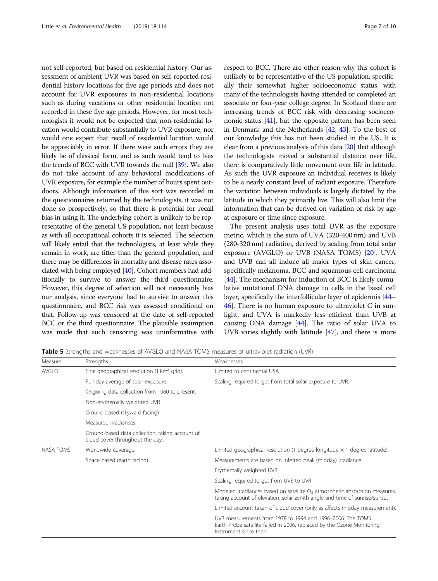<span id="page-6-0"></span>not self-reported, but based on residential history. Our assessment of ambient UVR was based on self-reported residential history locations for five age periods and does not account for UVR exposures in non-residential locations such as during vacations or other residential location not recorded in these five age periods. However, for most technologists it would not be expected that non-residential location would contribute substantially to UVR exposure, nor would one expect that recall of residential location would be appreciably in error. If there were such errors they are likely be of classical form, and as such would tend to bias the trends of BCC with UVR towards the null [[39](#page-8-0)]. We also do not take account of any behavioral modifications of UVR exposure, for example the number of hours spent outdoors. Although information of this sort was recorded in the questionnaires returned by the technologists, it was not done so prospectively, so that there is potential for recall bias in using it. The underlying cohort is unlikely to be representative of the general US population, not least because as with all occupational cohorts it is selected. The selection will likely entail that the technologists, at least while they remain in work, are fitter than the general population, and there may be differences in mortality and disease rates associated with being employed [\[40\]](#page-8-0). Cohort members had additionally to survive to answer the third questionnaire. However, this degree of selection will not necessarily bias our analysis, since everyone had to survive to answer this questionnaire, and BCC risk was assessed conditional on that. Follow-up was censored at the date of self-reported BCC or the third questionnaire. The plausible assumption was made that such censoring was uninformative with respect to BCC. There are other reason why this cohort is unlikely to be representative of the US population, specifically their somewhat higher socioeconomic status, with many of the technologists having attended or completed an associate or four-year college degree. In Scotland there are increasing trends of BCC risk with decreasing socioeconomic status [\[41\]](#page-8-0), but the opposite pattern has been seen in Denmark and the Netherlands [\[42,](#page-8-0) [43\]](#page-8-0). To the best of our knowledge this has not been studied in the US. It is clear from a previous analysis of this data [\[20\]](#page-8-0) that although the technologists moved a substantial distance over life, there is comparatively little movement over life in latitude. As such the UVR exposure an individual receives is likely to be a nearly constant level of radiant exposure. Therefore the variation between individuals is largely dictated by the latitude in which they primarily live. This will also limit the information that can be derived on variation of risk by age at exposure or time since exposure.

The present analysis uses total UVR as the exposure metric, which is the sum of UVA (320-400 nm) and UVB (280-320 nm) radiation, derived by scaling from total solar exposure (AVGLO) or UVB (NASA TOMS) [[20](#page-8-0)]. UVA and UVB can all induce all major types of skin cancer, specifically melanoma, BCC and squamous cell carcinoma [[44](#page-8-0)]. The mechanism for induction of BCC is likely cumulative mutational DNA damage to cells in the basal cell layer, specifically the interfollicular layer of epidermis [\[44](#page-8-0)– [46](#page-9-0)]. There is no human exposure to ultraviolet C in sunlight, and UVA is markedly less efficient than UVB at causing DNA damage [\[44](#page-8-0)]. The ratio of solar UVA to UVB varies slightly with latitude [[47](#page-9-0)], and there is more

Table 5 Strengths and weaknesses of AVGLO and NASA TOMS measures of ultraviolet radiation (UVR)

| Measure   | Strengths                                                                          | Weaknesses                                                                                                                                                     |
|-----------|------------------------------------------------------------------------------------|----------------------------------------------------------------------------------------------------------------------------------------------------------------|
| AVGLO     | Fine geographical resolution (1 $km^2$ grid).                                      | Limited to continental USA                                                                                                                                     |
|           | Full day average of solar exposure.                                                | Scaling required to get from total solar exposure to UVR.                                                                                                      |
|           | Ongoing data collection from 1960 to present.                                      |                                                                                                                                                                |
|           | Non-erythemally weighted UVR                                                       |                                                                                                                                                                |
|           | Ground based (skyward facing)                                                      |                                                                                                                                                                |
|           | Measured irradiances                                                               |                                                                                                                                                                |
|           | Ground-based data collection, taking account of<br>cloud cover throughout the day. |                                                                                                                                                                |
| NASA TOMS | Worldwide coverage.                                                                | Limited geographical resolution (1 degree longitude $\times$ 1 degree latitude).                                                                               |
|           | Space based (earth facing)                                                         | Measurements are based on inferred peak (midday) irradiance.                                                                                                   |
|           |                                                                                    | Erythemally weighted UVR.                                                                                                                                      |
|           |                                                                                    | Scaling required to get from UVB to UVR                                                                                                                        |
|           |                                                                                    | Modeled irradiances based on satellite $O3$ atmospheric absorption measures<br>taking account of elevation, solar zenith angle and time of sunrise/sunset      |
|           |                                                                                    | Limited account taken of cloud cover (only as affects midday measurement)                                                                                      |
|           |                                                                                    | UVB measurements from 1978 to 1994 and 1996-2006. The TOMS<br>Earth-Probe satellite failed in 2006, replaced by the Ozone Monitoring<br>Instrument since then. |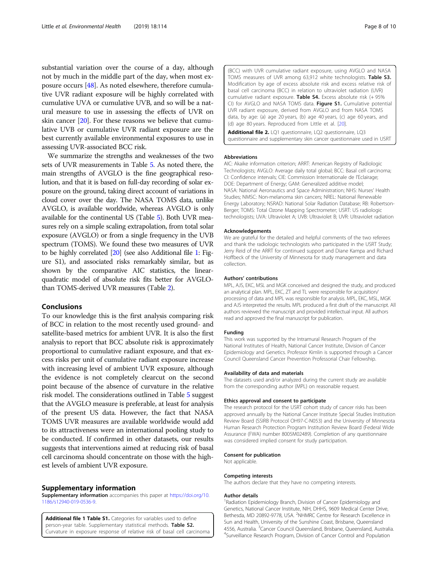<span id="page-7-0"></span>substantial variation over the course of a day, although not by much in the middle part of the day, when most exposure occurs [\[48\]](#page-9-0). As noted elsewhere, therefore cumulative UVR radiant exposure will be highly correlated with cumulative UVA or cumulative UVB, and so will be a natural measure to use in assessing the effects of UVR on skin cancer [[20](#page-8-0)]. For these reasons we believe that cumulative UVB or cumulative UVR radiant exposure are the best currently available environmental exposures to use in assessing UVR-associated BCC risk.

We summarize the strengths and weaknesses of the two sets of UVR measurements in Table [5.](#page-6-0) As noted there, the main strengths of AVGLO is the fine geographical resolution, and that it is based on full-day recording of solar exposure on the ground, taking direct account of variations in cloud cover over the day. The NASA TOMS data, unlike AVGLO, is available worldwide, whereas AVGLO is only available for the continental US (Table [5\)](#page-6-0). Both UVR measures rely on a simple scaling extrapolation, from total solar exposure (AVGLO) or from a single frequency in the UVB spectrum (TOMS). We found these two measures of UVR to be highly correlated [\[20](#page-8-0)] (see also Additional file 1: Figure S1), and associated risks remarkably similar, but as shown by the comparative AIC statistics, the linearquadratic model of absolute risk fits better for AVGLOthan TOMS-derived UVR measures (Table [2\)](#page-4-0).

#### Conclusions

To our knowledge this is the first analysis comparing risk of BCC in relation to the most recently used ground- and satellite-based metrics for ambient UVR. It is also the first analysis to report that BCC absolute risk is approximately proportional to cumulative radiant exposure, and that excess risks per unit of cumulative radiant exposure increase with increasing level of ambient UVR exposure, although the evidence is not completely clearcut on the second point because of the absence of curvature in the relative risk model. The considerations outlined in Table [5](#page-6-0) suggest that the AVGLO measure is preferable, at least for analysis of the present US data. However, the fact that NASA TOMS UVR measures are available worldwide would add to its attractiveness were an international pooling study to be conducted. If confirmed in other datasets, our results suggests that interventions aimed at reducing risk of basal cell carcinoma should concentrate on those with the highest levels of ambient UVR exposure.

#### Supplementary information

Supplementary information accompanies this paper at [https://doi.org/10.](https://doi.org/10.1186/s12940-019-0536-9) [1186/s12940-019-0536-9.](https://doi.org/10.1186/s12940-019-0536-9)

Additional file 1 Table S1. Categories for variables used to define person-year table. Supplementary statistical methods. Table S2. Curvature in exposure response of relative risk of basal cell carcinoma (BCC) with UVR cumulative radiant exposure, using AVGLO and NASA TOMS measures of UVR among 63,912 white technologists. Table S3. Modification by age of excess absolute risk and excess relative risk of basal cell carcinoma (BCC) in relation to ultraviolet radiation (UVR) cumulative radiant exposure. Table  $S4$ . Excess absolute risk  $(+95\%)$ CI) for AVGLO and NASA TOMS data. Figure S1. Cumulative potential UVR radiant exposure, derived from AVGLO and from NASA TOMS data, by age: (a) age 20 years, (b) age 40 years, (c) age 60 years, and (d) age 80 years. Reproduced from Little et al. [[20](#page-8-0)].

Additional file 2. LQ1 questionnaire, LQ2 questionnaire, LQ3 questionnaire and supplementary skin cancer questionnaire used in USRT

#### Abbreviations

AIC: Akaike information criterion; ARRT: American Registry of Radiologic Technologists; AVGLO: Average daily total global; BCC: Basal cell carcinoma; CI: Confidence intervals; CIE: Commission Internationale de l'Eclairage; DOE: Department of Energy; GAM: Generalized additive model; NASA: National Aeronautics and Space Administration; NHS: Nurses' Health Studies; NMSC: Non-melanoma skin cancers; NREL: National Renewable Energy Laboratory; NSRAD: National Solar Radiation Database; RB: Robertson-Berger; TOMS: Total Ozone Mapping Spectrometer; USRT: US radiologic technologists; UVA: Ultraviolet A; UVB: Ultraviolet B; UVR: Ultraviolet radiation

#### Acknowledgements

We are grateful for the detailed and helpful comments of the two referees and thank the radiologic technologists who participated in the USRT Study; Jerry Reid of the ARRT for continued support and Diane Kampa and Richard Hoffbeck of the University of Minnesota for study management and data collection.

#### Authors' contributions

MPL, AJS, EKC, MSL and MGK conceived and designed the study, and produced an analytical plan. MPL, EKC, ZT and TL were responsible for acquisition/ processing of data and MPL was responsible for analysis. MPL, EKC, MSL, MGK and AJS interpreted the results. MPL produced a first draft of the manuscript. All authors reviewed the manuscript and provided intellectual input. All authors read and approved the final manuscript for publication.

#### Funding

This work was supported by the Intramural Research Program of the National Institutes of Health, National Cancer Institute, Division of Cancer Epidemiology and Genetics. Professor Kimlin is supported through a Cancer Council Queensland Cancer Prevention Professorial Chair Fellowship.

#### Availability of data and materials

The datasets used and/or analyzed during the current study are available from the corresponding author (MPL) on reasonable request.

#### Ethics approval and consent to participate

The research protocol for the USRT cohort study of cancer risks has been approved annually by the National Cancer Institute Special Studies Institution Review Board (SSIRB Protocol OH97-C-N053) and the University of Minnesota Human Research Protection Program Institution Review Board (Federal Wide Assurance (FWA) number 8005M02489). Completion of any questionnaire was considered implied consent for study participation.

#### Consent for publication

Not applicable.

#### Competing interests

The authors declare that they have no competing interests.

#### Author details

<sup>1</sup> Radiation Epidemiology Branch, Division of Cancer Epidemiology and Genetics, National Cancer Institute, NIH, DHHS, 9609 Medical Center Drive, Bethesda, MD 20892-9778, USA. <sup>2</sup>NHMRC Centre for Research Excellence in Sun and Health, University of the Sunshine Coast, Brisbane, Queensland 4556, Australia. <sup>3</sup> Cancer Council Queensland, Brisbane, Queensland, Australia.<br><sup>4</sup> Suncillance Besearch Brogam, Division of Cancer Control and Bopulation. <sup>4</sup>Surveillance Research Program, Division of Cancer Control and Population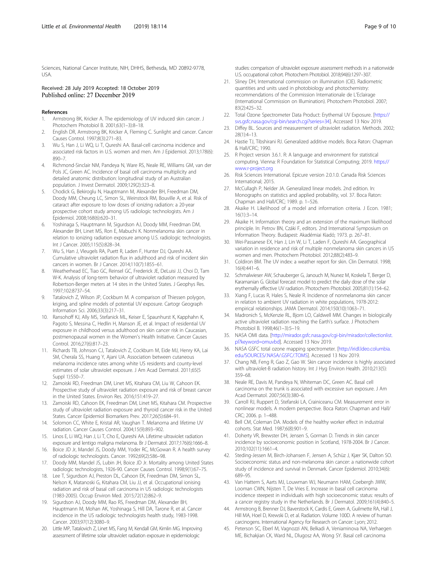<span id="page-8-0"></span>Sciences, National Cancer Institute, NIH, DHHS, Bethesda, MD 20892-9778, USA.

#### Received: 28 July 2019 Accepted: 18 October 2019 Published online: 27 December 2019

#### References

- 1. Armstrong BK, Kricker A. The epidemiology of UV induced skin cancer. J Photochem Photobiol B. 2001;63(1–3):8–18.
- 2. English DR, Armstrong BK, Kricker A, Fleming C. Sunlight and cancer. Cancer Causes Control. 1997;8(3):271–83.
- 3. Wu S, Han J, Li WQ, Li T, Qureshi AA. Basal-cell carcinoma incidence and associated risk factors in U.S. women and men. Am J Epidemiol. 2013;178(6): 890–7.
- 4. Richmond-Sinclair NM, Pandeya N, Ware RS, Neale RE, Williams GM, van der Pols JC, Green AC. Incidence of basal cell carcinoma multiplicity and detailed anatomic distribution: longitudinal study of an Australian population. J Invest Dermatol. 2009;129(2):323–8.
- 5. Chodick G, Bekiroglu N, Hauptmann M, Alexander BH, Freedman DM, Doody MM, Cheung LC, Simon SL, Weinstock RM, Bouville A, et al. Risk of cataract after exposure to low doses of ionizing radiation: a 20-year prospective cohort study among US radiologic technologists. Am J Epidemiol. 2008;168(6):620–31.
- Yoshinaga S, Hauptmann M, Sigurdson AJ, Doody MM, Freedman DM, Alexander BH, Linet MS, Ron E, Mabuchi K. Nonmelanoma skin cancer in relation to ionizing radiation exposure among U.S. radiologic technologists. Int J Cancer. 2005;115(5):828–34.
- 7. Wu S, Han J, Vleugels RA, Puett R, Laden F, Hunter DJ, Qureshi AA. Cumulative ultraviolet radiation flux in adulthood and risk of incident skin cancers in women. Br J Cancer. 2014;110(7):1855–61.
- 8. Weatherhead EC, Tiao GC, Reinsel GC, Frederick JE, DeLuisi JJ, Choi D, Tam W-K. Analysis of long-term behavior of ultraviolet radiation measured by Robertson-Berger meters at 14 sites in the United States. J Geophys Res. 1997;102:8737–54.
- Tatalovich Z, Wilson JP, Cockburn M. A comparison of Thiessen polygon, kriging, and spline models of potential UV exposure. Cartogr Geograph Information Sci. 2006;33(3):217–31.
- 10. Ransohoff KJ, Ally MS, Stefanick ML, Keiser E, Spaunhurst K, Kapphahn K, Pagoto S, Messina C, Hedlin H, Manson JE, et al. Impact of residential UV exposure in childhood versus adulthood on skin cancer risk in Caucasian, postmenopausal women in the Women's Health Initiative. Cancer Causes Control. 2016;27(6):817–23.
- 11. Richards TB, Johnson CJ, Tatalovich Z, Cockburn M, Eide MJ, Henry KA, Lai SM, Cherala SS, Huang Y, Ajani UA. Association between cutaneous melanoma incidence rates among white US residents and county-level estimates of solar ultraviolet exposure. J Am Acad Dermatol. 2011;65(5 Suppl 1):S50–7.
- 12. Zamoiski RD, Freedman DM, Linet MS, Kitahara CM, Liu W, Cahoon EK. Prospective study of ultraviolet radiation exposure and risk of breast cancer in the United States. Environ Res. 2016;151:419–27.
- 13. Zamoiski RD, Cahoon EK, Freedman DM, Linet MS, Kitahara CM. Prospective study of ultraviolet radiation exposure and thyroid cancer risk in the United States. Cancer Epidemiol Biomarkers Prev. 2017;26(5):684–91.
- 14. Solomon CC, White E, Kristal AR, Vaughan T. Melanoma and lifetime UV radiation. Cancer Causes Control. 2004;15(9):893–902.
- 15. Linos E, Li WQ, Han J, Li T, Cho E, Qureshi AA. Lifetime ultraviolet radiation exposure and lentigo maligna melanoma. Br J Dermatol. 2017;176(6):1666–8.
- 16. Boice JD Jr, Mandel JS, Doody MM, Yoder RC, McGowan R. A health survey of radiologic technologists. Cancer. 1992;69(2):586–98.
- 17. Doody MM, Mandel JS, Lubin JH, Boice JD Jr. Mortality among United States radiologic technologists, 1926-90. Cancer Causes Control. 1998;9(1):67–75.
- 18. Lee T, Sigurdson AJ, Preston DL, Cahoon EK, Freedman DM, Simon SL, Nelson K, Matanoski G, Kitahara CM, Liu JJ, et al. Occupational ionising radiation and risk of basal cell carcinoma in US radiologic technologists (1983-2005). Occup Environ Med. 2015;72(12):862–9.
- 19. Sigurdson AJ, Doody MM, Rao RS, Freedman DM, Alexander BH, Hauptmann M, Mohan AK, Yoshinaga S, Hill DA, Tarone R, et al. Cancer incidence in the US radiologic technologists health study, 1983-1998. Cancer. 2003;97(12):3080–9.
- 20. Little MP, Tatalovich Z, Linet MS, Fang M, Kendall GM, Kimlin MG. Improving assessment of lifetime solar ultraviolet radiation exposure in epidemiologic

studies: comparison of ultraviolet exposure assessment methods in a nationwide U.S. occupational cohort. Photochem Photobiol. 2018;94(6):1297–307.

- 21. Sliney DH, International commission on illumination (CIE). Radiometric quantities and units used in photobiology and photochemistry: recommendations of the Commission Internationale de L'Eclairage (International Commission on Illumination). Photochem Photobiol. 2007; 83(2):425–32.
- 22. Total Ozone Spectrometer Data Product: Erythemal UV Exposure. [\[https://](https://svs.gsfc.nasa.gov/cgi-bin/search.cgi?series=34) [svs.gsfc.nasa.gov/cgi-bin/search.cgi?series=34](https://svs.gsfc.nasa.gov/cgi-bin/search.cgi?series=34)]. Accessed 13 Nov 2019.
- 23. Diffey BL. Sources and measurement of ultraviolet radiation. Methods. 2002; 28(1):4–13.
- 24. Hastie TJ, Tibshirani RJ. Generalized additive models. Boca Raton: Chapman & Hall/CRC; 1990.
- 25. R Project version 3.6.1. R: A language and environment for statistical computing. Vienna: R Foundation for Statistical Computing; 2019. [https://](https://www.r-project.org) [www.r-project.org](https://www.r-project.org)
- 26. Risk Sciences International. Epicure version 2.0.1.0. Canada Risk Sciences International; 2015.
- 27. McCullagh P, Nelder JA. Generalized linear models. 2nd edition. In: Monographs on statistics and applied probability, vol. 37. Boca Raton: Chapman and Hall/CRC; 1989. p. 1–526.
- 28. Akaike H. Likelihood of a model and information criteria. J Econ. 1981; 16(1):3–14.
- 29. Akaike H. Information theory and an extension of the maximum likelihood principle. In: Petrov BN, Czáki F, editors. 2nd International Symposium on Information Theory. Budapest: Akadémiai Kiadó; 1973. p. 267–81.
- 30. Wei-Passanese EX, Han J, Lin W, Li T, Laden F, Qureshi AA. Geographical variation in residence and risk of multiple nonmelanoma skin cancers in US women and men. Photochem Photobiol. 2012;88(2):483–9.
- 31. Coldiron BM. The UV index: a weather report for skin. Clin Dermatol. 1998; 16(4):441–6.
- 32. Schmalwieser AW, Schauberger G, Janouch M, Nunez M, Koskela T, Berger D, Karamanian G. Global forecast model to predict the daily dose of the solar erythemally effective UV radiation. Photochem Photobiol. 2005;81(1):154–62.
- 33. Xiang F, Lucas R, Hales S, Neale R. Incidence of nonmelanoma skin cancer in relation to ambient UV radiation in white populations, 1978-2012: empirical relationships. JAMA Dermatol. 2014;150(10):1063–71.
- 34. Madronich S, McKenzie RL, Bjorn LO, Caldwell MM. Changes in biologically active ultraviolet radiation reaching the Earth's surface. J Photochem Photobiol B. 1998;46(1–3):5–19.
- 35. NASA OMI data. [\[http://mirador.gsfc.nasa.gov/cgi-bin/mirador/collectionlist.](http://mirador.gsfc.nasa.gov/cgi-bin/mirador/collectionlist.pl?keyword=omuvbd) [pl?keyword=omuvbd](http://mirador.gsfc.nasa.gov/cgi-bin/mirador/collectionlist.pl?keyword=omuvbd)]. Accessed 13 Nov 2019.
- 36. NASA GSFC total ozone mapping spectrometer. [[http://iridl.ldeo.columbia.](http://iridl.ldeo.columbia.edu/SOURCES/.NASA/.GSFC/.TOMS) [edu/SOURCES/.NASA/.GSFC/.TOMS](http://iridl.ldeo.columbia.edu/SOURCES/.NASA/.GSFC/.TOMS)]. Accessed 13 Nov 2019.
- 37. Chang NB, Feng R, Gao Z, Gao W. Skin cancer incidence is highly associated with ultraviolet-B radiation history. Int J Hyg Environ Health. 2010;213(5): 359–68.
- 38. Neale RE, Davis M, Pandeya N, Whiteman DC, Green AC. Basal cell carcinoma on the trunk is associated with excessive sun exposure. J Am Acad Dermatol. 2007;56(3):380–6.
- 39. Carroll RJ, Ruppert D, Stefanski LA, Crainiceanu CM. Measurement error in nonlinear models. A modern perspective. Boca Raton: Chapman and Hall/ CRC; 2006. p. 1–488.
- 40. Bell CM, Coleman DA. Models of the healthy worker effect in industrial cohorts. Stat Med. 1987;6(8):901–9.
- 41. Doherty VR, Brewster DH, Jensen S, Gorman D. Trends in skin cancer incidence by socioeconomic position in Scotland, 1978-2004. Br J Cancer. 2010;102(11):1661–4.
- 42. Steding-Jessen M, Birch-Johansen F, Jensen A, Schüz J, Kjær SK, Dalton SO. Socioeconomic status and non-melanoma skin cancer: a nationwide cohort study of incidence and survival in Denmark. Cancer Epidemiol. 2010;34(6): 689–95.
- 43. Van Hattem S, Aarts MJ, Louwman WJ, Neumann HAM, Coebergh JWW, Looman CWN, Nijsten T, De Vries E. Increase in basal cell carcinoma incidence steepest in individuals with high socioeconomic status: results of a cancer registry study in the Netherlands. Br J Dermatol. 2009;161(4):840–5.
- 44. Armstrong B, Brenner DJ, Baverstock K, Cardis E, Green A, Guilmette RA, Hall J, Hill MA, Hoel D, Krewski D, et al. Radiation. Volume 100D. A review of human carcinogens. International Agency for Research on Cancer: Lyon; 2012.
- 45. Peterson SC, Eberl M, Vagnozzi AN, Belkadi A, Veniaminova NA, Verhaegen ME, Bichakjian CK, Ward NL, Dlugosz AA, Wong SY. Basal cell carcinoma